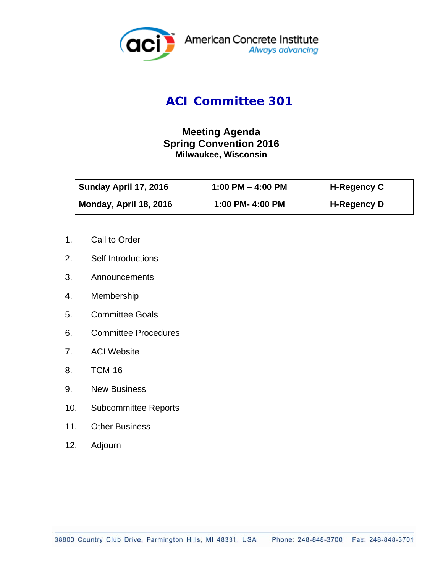

## *ACI Committee 301*

## **Meeting Agenda Spring Convention 2016 Milwaukee, Wisconsin**

| Sunday April 17, 2016  | 1:00 PM $-$ 4:00 PM | <b>H-Regency C</b> |
|------------------------|---------------------|--------------------|
| Monday, April 18, 2016 | 1:00 PM- 4:00 PM    | <b>H-Regency D</b> |

- 1. Call to Order
- 2. Self Introductions
- 3. Announcements
- 4. Membership
- 5. Committee Goals
- 6. Committee Procedures
- 7. ACI Website
- 8. TCM-16
- 9. New Business
- 10. Subcommittee Reports
- 11. Other Business
- 12. Adjourn